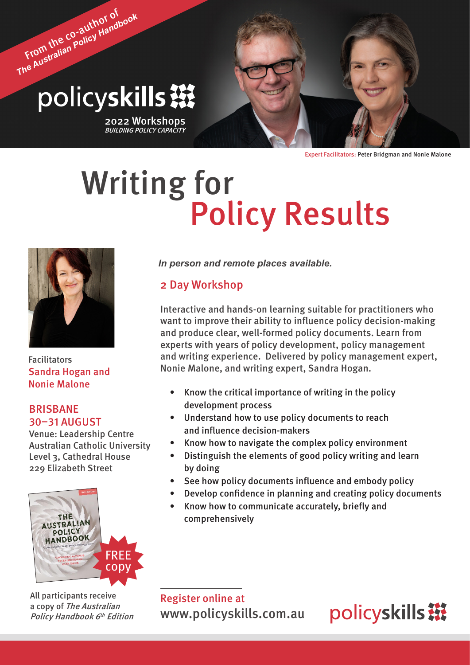# From the co-author of *The Australian Policy Handbook* policyskills ※

2022 Workshops<br>*BUILDING POLICY CAPACITY* 

Expert Facilitators: Peter Bridgman and Nonie Malone

# Writing for<br>Policy Results



Facilitators Sandra Hogan and Nonie Malone

# BRISBANE 30–31 AUGUST

Venue: Leadership Centre Australian Catholic University Level 3, Cathedral House 229 Elizabeth Street



All participants receive a copy of The Australian Policy Handbook 6<sup>th</sup> Edition *In person and remote places available.*

# 2 Day Workshop

Interactive and hands-on learning suitable for practitioners who want to improve their ability to influence policy decision-making and produce clear, well-formed policy documents. Learn from experts with years of policy development, policy management and writing experience. Delivered by policy management expert, Nonie Malone, and writing expert, Sandra Hogan.

- Know the critical importance of writing in the policy development process
- Understand how to use policy documents to reach and influence decision-makers
- Know how to navigate the complex policy environment
- Distinguish the elements of good policy writing and learn by doing
- See how policy documents influence and embody policy
- Develop confidence in planning and creating policy documents
- Know how to communicate accurately, briefly and comprehensively

Register online at [www.policyskills.com.au](http://www.policyskills.com.au)